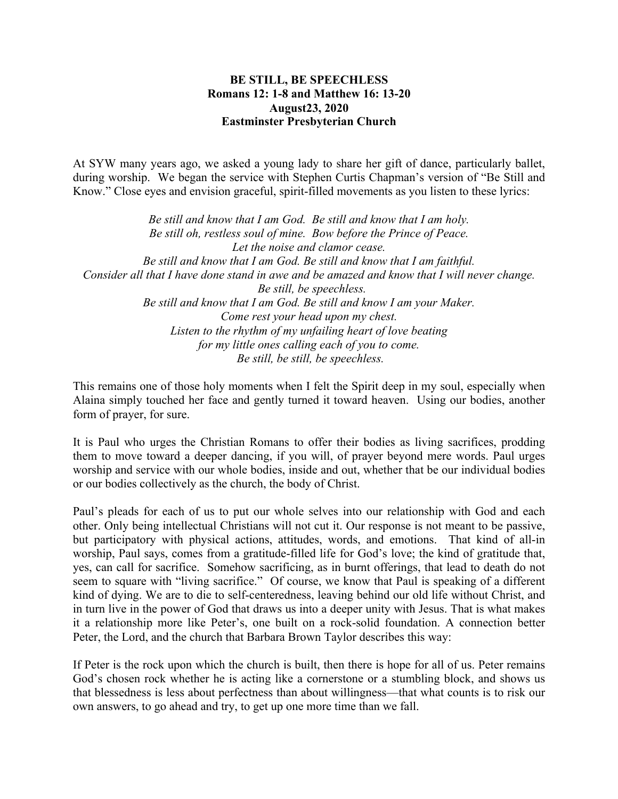## **BE STILL, BE SPEECHLESS Romans 12: 1-8 and Matthew 16: 13-20 August23, 2020 Eastminster Presbyterian Church**

At SYW many years ago, we asked a young lady to share her gift of dance, particularly ballet, during worship. We began the service with Stephen Curtis Chapman's version of "Be Still and Know." Close eyes and envision graceful, spirit-filled movements as you listen to these lyrics:

*Be still and know that I am God. Be still and know that I am holy. Be still oh, restless soul of mine. Bow before the Prince of Peace. Let the noise and clamor cease. Be still and know that I am God. Be still and know that I am faithful. Consider all that I have done stand in awe and be amazed and know that I will never change. Be still, be speechless. Be still and know that I am God. Be still and know I am your Maker. Come rest your head upon my chest. Listen to the rhythm of my unfailing heart of love beating for my little ones calling each of you to come. Be still, be still, be speechless.*

This remains one of those holy moments when I felt the Spirit deep in my soul, especially when Alaina simply touched her face and gently turned it toward heaven. Using our bodies, another form of prayer, for sure.

It is Paul who urges the Christian Romans to offer their bodies as living sacrifices, prodding them to move toward a deeper dancing, if you will, of prayer beyond mere words. Paul urges worship and service with our whole bodies, inside and out, whether that be our individual bodies or our bodies collectively as the church, the body of Christ.

Paul's pleads for each of us to put our whole selves into our relationship with God and each other. Only being intellectual Christians will not cut it. Our response is not meant to be passive, but participatory with physical actions, attitudes, words, and emotions. That kind of all-in worship, Paul says, comes from a gratitude-filled life for God's love; the kind of gratitude that, yes, can call for sacrifice. Somehow sacrificing, as in burnt offerings, that lead to death do not seem to square with "living sacrifice." Of course, we know that Paul is speaking of a different kind of dying. We are to die to self-centeredness, leaving behind our old life without Christ, and in turn live in the power of God that draws us into a deeper unity with Jesus. That is what makes it a relationship more like Peter's, one built on a rock-solid foundation. A connection better Peter, the Lord, and the church that Barbara Brown Taylor describes this way:

If Peter is the rock upon which the church is built, then there is hope for all of us. Peter remains God's chosen rock whether he is acting like a cornerstone or a stumbling block, and shows us that blessedness is less about perfectness than about willingness—that what counts is to risk our own answers, to go ahead and try, to get up one more time than we fall.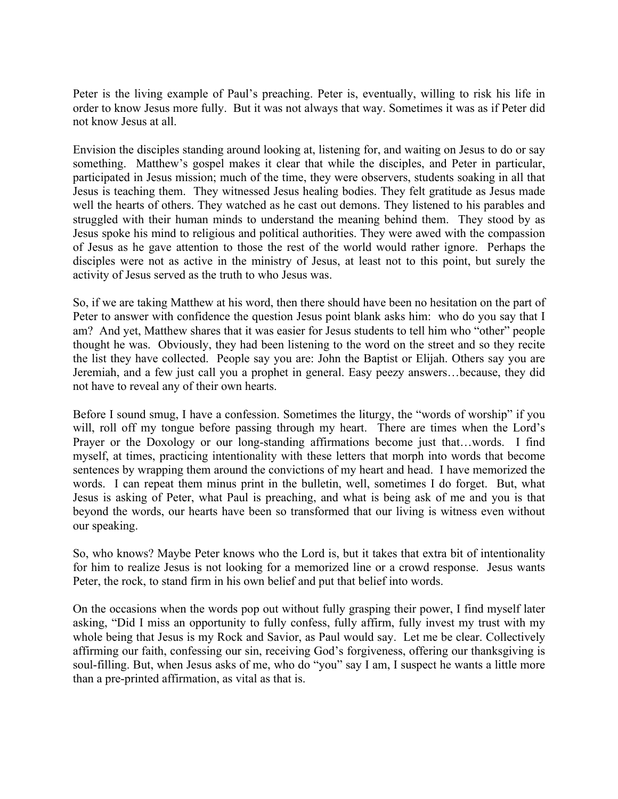Peter is the living example of Paul's preaching. Peter is, eventually, willing to risk his life in order to know Jesus more fully. But it was not always that way. Sometimes it was as if Peter did not know Jesus at all.

Envision the disciples standing around looking at, listening for, and waiting on Jesus to do or say something. Matthew's gospel makes it clear that while the disciples, and Peter in particular, participated in Jesus mission; much of the time, they were observers, students soaking in all that Jesus is teaching them. They witnessed Jesus healing bodies. They felt gratitude as Jesus made well the hearts of others. They watched as he cast out demons. They listened to his parables and struggled with their human minds to understand the meaning behind them. They stood by as Jesus spoke his mind to religious and political authorities. They were awed with the compassion of Jesus as he gave attention to those the rest of the world would rather ignore. Perhaps the disciples were not as active in the ministry of Jesus, at least not to this point, but surely the activity of Jesus served as the truth to who Jesus was.

So, if we are taking Matthew at his word, then there should have been no hesitation on the part of Peter to answer with confidence the question Jesus point blank asks him: who do you say that I am? And yet, Matthew shares that it was easier for Jesus students to tell him who "other" people thought he was. Obviously, they had been listening to the word on the street and so they recite the list they have collected. People say you are: John the Baptist or Elijah. Others say you are Jeremiah, and a few just call you a prophet in general. Easy peezy answers…because, they did not have to reveal any of their own hearts.

Before I sound smug, I have a confession. Sometimes the liturgy, the "words of worship" if you will, roll off my tongue before passing through my heart. There are times when the Lord's Prayer or the Doxology or our long-standing affirmations become just that...words. I find myself, at times, practicing intentionality with these letters that morph into words that become sentences by wrapping them around the convictions of my heart and head. I have memorized the words. I can repeat them minus print in the bulletin, well, sometimes I do forget. But, what Jesus is asking of Peter, what Paul is preaching, and what is being ask of me and you is that beyond the words, our hearts have been so transformed that our living is witness even without our speaking.

So, who knows? Maybe Peter knows who the Lord is, but it takes that extra bit of intentionality for him to realize Jesus is not looking for a memorized line or a crowd response. Jesus wants Peter, the rock, to stand firm in his own belief and put that belief into words.

On the occasions when the words pop out without fully grasping their power, I find myself later asking, "Did I miss an opportunity to fully confess, fully affirm, fully invest my trust with my whole being that Jesus is my Rock and Savior, as Paul would say. Let me be clear. Collectively affirming our faith, confessing our sin, receiving God's forgiveness, offering our thanksgiving is soul-filling. But, when Jesus asks of me, who do "you" say I am, I suspect he wants a little more than a pre-printed affirmation, as vital as that is.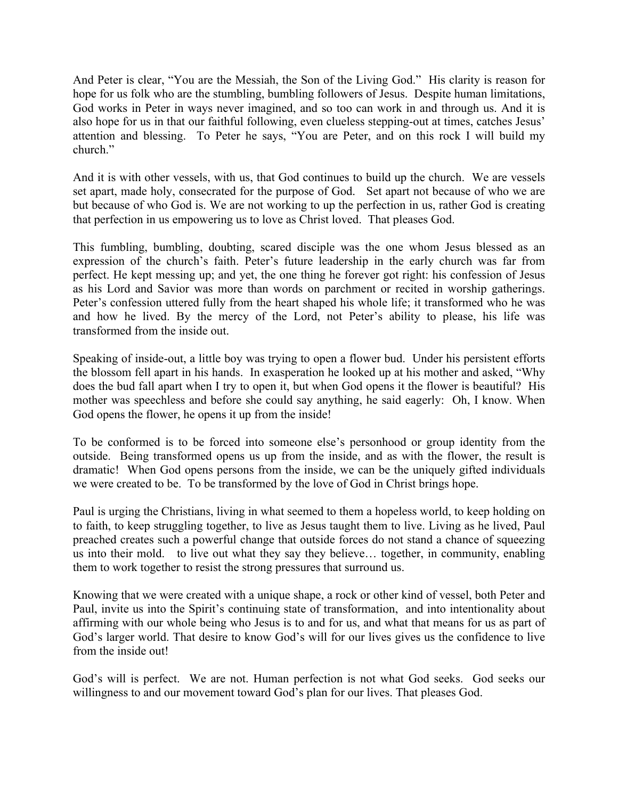And Peter is clear, "You are the Messiah, the Son of the Living God." His clarity is reason for hope for us folk who are the stumbling, bumbling followers of Jesus. Despite human limitations, God works in Peter in ways never imagined, and so too can work in and through us. And it is also hope for us in that our faithful following, even clueless stepping-out at times, catches Jesus' attention and blessing. To Peter he says, "You are Peter, and on this rock I will build my church."

And it is with other vessels, with us, that God continues to build up the church. We are vessels set apart, made holy, consecrated for the purpose of God. Set apart not because of who we are but because of who God is. We are not working to up the perfection in us, rather God is creating that perfection in us empowering us to love as Christ loved. That pleases God.

This fumbling, bumbling, doubting, scared disciple was the one whom Jesus blessed as an expression of the church's faith. Peter's future leadership in the early church was far from perfect. He kept messing up; and yet, the one thing he forever got right: his confession of Jesus as his Lord and Savior was more than words on parchment or recited in worship gatherings. Peter's confession uttered fully from the heart shaped his whole life; it transformed who he was and how he lived. By the mercy of the Lord, not Peter's ability to please, his life was transformed from the inside out.

Speaking of inside-out, a little boy was trying to open a flower bud. Under his persistent efforts the blossom fell apart in his hands. In exasperation he looked up at his mother and asked, "Why does the bud fall apart when I try to open it, but when God opens it the flower is beautiful? His mother was speechless and before she could say anything, he said eagerly: Oh, I know. When God opens the flower, he opens it up from the inside!

To be conformed is to be forced into someone else's personhood or group identity from the outside. Being transformed opens us up from the inside, and as with the flower, the result is dramatic! When God opens persons from the inside, we can be the uniquely gifted individuals we were created to be. To be transformed by the love of God in Christ brings hope.

Paul is urging the Christians, living in what seemed to them a hopeless world, to keep holding on to faith, to keep struggling together, to live as Jesus taught them to live. Living as he lived, Paul preached creates such a powerful change that outside forces do not stand a chance of squeezing us into their mold. to live out what they say they believe… together, in community, enabling them to work together to resist the strong pressures that surround us.

Knowing that we were created with a unique shape, a rock or other kind of vessel, both Peter and Paul, invite us into the Spirit's continuing state of transformation, and into intentionality about affirming with our whole being who Jesus is to and for us, and what that means for us as part of God's larger world. That desire to know God's will for our lives gives us the confidence to live from the inside out!

God's will is perfect. We are not. Human perfection is not what God seeks. God seeks our willingness to and our movement toward God's plan for our lives. That pleases God.